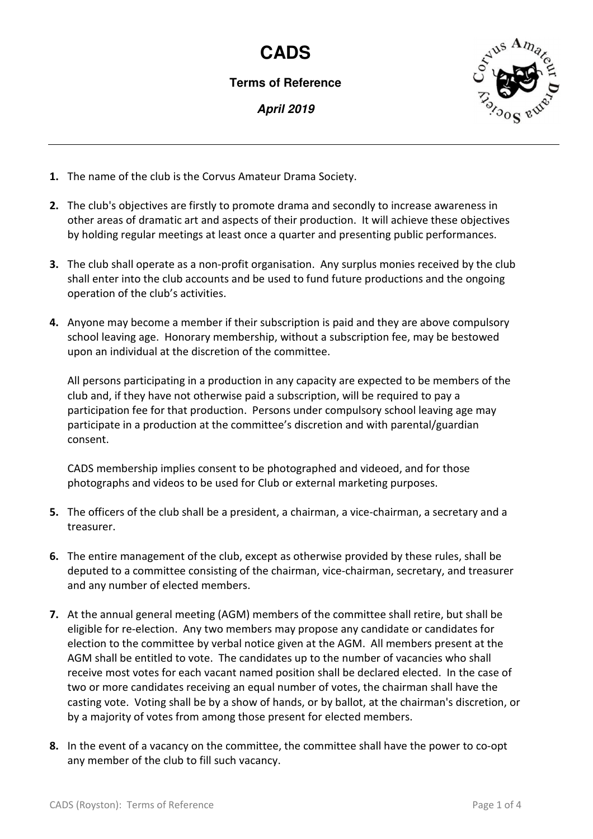## **CADS**

**Terms of Reference** 

**April 2019** 



- **1.** The name of the club is the Corvus Amateur Drama Society.
- **2.** The club's objectives are firstly to promote drama and secondly to increase awareness in other areas of dramatic art and aspects of their production. It will achieve these objectives by holding regular meetings at least once a quarter and presenting public performances.
- **3.** The club shall operate as a non-profit organisation. Any surplus monies received by the club shall enter into the club accounts and be used to fund future productions and the ongoing operation of the club's activities.
- **4.** Anyone may become a member if their subscription is paid and they are above compulsory school leaving age. Honorary membership, without a subscription fee, may be bestowed upon an individual at the discretion of the committee.

All persons participating in a production in any capacity are expected to be members of the club and, if they have not otherwise paid a subscription, will be required to pay a participation fee for that production. Persons under compulsory school leaving age may participate in a production at the committee's discretion and with parental/guardian consent.

CADS membership implies consent to be photographed and videoed, and for those photographs and videos to be used for Club or external marketing purposes.

- **5.** The officers of the club shall be a president, a chairman, a vice-chairman, a secretary and a treasurer.
- **6.** The entire management of the club, except as otherwise provided by these rules, shall be deputed to a committee consisting of the chairman, vice-chairman, secretary, and treasurer and any number of elected members.
- **7.** At the annual general meeting (AGM) members of the committee shall retire, but shall be eligible for re-election. Any two members may propose any candidate or candidates for election to the committee by verbal notice given at the AGM. All members present at the AGM shall be entitled to vote. The candidates up to the number of vacancies who shall receive most votes for each vacant named position shall be declared elected. In the case of two or more candidates receiving an equal number of votes, the chairman shall have the casting vote. Voting shall be by a show of hands, or by ballot, at the chairman's discretion, or by a majority of votes from among those present for elected members.
- **8.** In the event of a vacancy on the committee, the committee shall have the power to co-opt any member of the club to fill such vacancy.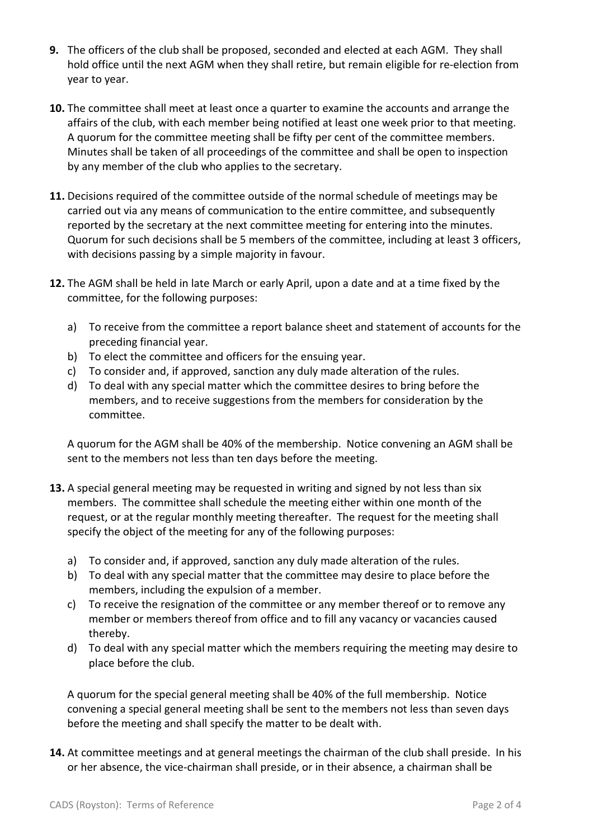- **9.** The officers of the club shall be proposed, seconded and elected at each AGM. They shall hold office until the next AGM when they shall retire, but remain eligible for re-election from year to year.
- **10.** The committee shall meet at least once a quarter to examine the accounts and arrange the affairs of the club, with each member being notified at least one week prior to that meeting. A quorum for the committee meeting shall be fifty per cent of the committee members. Minutes shall be taken of all proceedings of the committee and shall be open to inspection by any member of the club who applies to the secretary.
- **11.** Decisions required of the committee outside of the normal schedule of meetings may be carried out via any means of communication to the entire committee, and subsequently reported by the secretary at the next committee meeting for entering into the minutes. Quorum for such decisions shall be 5 members of the committee, including at least 3 officers, with decisions passing by a simple majority in favour.
- **12.** The AGM shall be held in late March or early April, upon a date and at a time fixed by the committee, for the following purposes:
	- a) To receive from the committee a report balance sheet and statement of accounts for the preceding financial year.
	- b) To elect the committee and officers for the ensuing year.
	- c) To consider and, if approved, sanction any duly made alteration of the rules.
	- d) To deal with any special matter which the committee desires to bring before the members, and to receive suggestions from the members for consideration by the committee.

A quorum for the AGM shall be 40% of the membership. Notice convening an AGM shall be sent to the members not less than ten days before the meeting.

- **13.** A special general meeting may be requested in writing and signed by not less than six members. The committee shall schedule the meeting either within one month of the request, or at the regular monthly meeting thereafter. The request for the meeting shall specify the object of the meeting for any of the following purposes:
	- a) To consider and, if approved, sanction any duly made alteration of the rules.
	- b) To deal with any special matter that the committee may desire to place before the members, including the expulsion of a member.
	- c) To receive the resignation of the committee or any member thereof or to remove any member or members thereof from office and to fill any vacancy or vacancies caused thereby.
	- d) To deal with any special matter which the members requiring the meeting may desire to place before the club.

A quorum for the special general meeting shall be 40% of the full membership. Notice convening a special general meeting shall be sent to the members not less than seven days before the meeting and shall specify the matter to be dealt with.

**14.** At committee meetings and at general meetings the chairman of the club shall preside. In his or her absence, the vice-chairman shall preside, or in their absence, a chairman shall be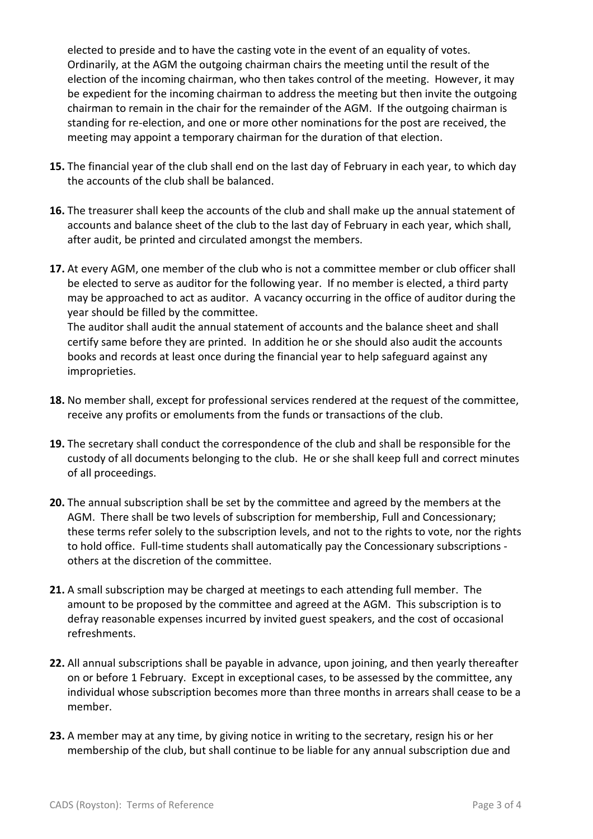elected to preside and to have the casting vote in the event of an equality of votes. Ordinarily, at the AGM the outgoing chairman chairs the meeting until the result of the election of the incoming chairman, who then takes control of the meeting. However, it may be expedient for the incoming chairman to address the meeting but then invite the outgoing chairman to remain in the chair for the remainder of the AGM. If the outgoing chairman is standing for re-election, and one or more other nominations for the post are received, the meeting may appoint a temporary chairman for the duration of that election.

- **15.** The financial year of the club shall end on the last day of February in each year, to which day the accounts of the club shall be balanced.
- **16.** The treasurer shall keep the accounts of the club and shall make up the annual statement of accounts and balance sheet of the club to the last day of February in each year, which shall, after audit, be printed and circulated amongst the members.
- **17.** At every AGM, one member of the club who is not a committee member or club officer shall be elected to serve as auditor for the following year. If no member is elected, a third party may be approached to act as auditor. A vacancy occurring in the office of auditor during the year should be filled by the committee.

The auditor shall audit the annual statement of accounts and the balance sheet and shall certify same before they are printed. In addition he or she should also audit the accounts books and records at least once during the financial year to help safeguard against any improprieties.

- **18.** No member shall, except for professional services rendered at the request of the committee, receive any profits or emoluments from the funds or transactions of the club.
- **19.** The secretary shall conduct the correspondence of the club and shall be responsible for the custody of all documents belonging to the club. He or she shall keep full and correct minutes of all proceedings.
- **20.** The annual subscription shall be set by the committee and agreed by the members at the AGM. There shall be two levels of subscription for membership, Full and Concessionary; these terms refer solely to the subscription levels, and not to the rights to vote, nor the rights to hold office. Full-time students shall automatically pay the Concessionary subscriptions others at the discretion of the committee.
- **21.** A small subscription may be charged at meetings to each attending full member. The amount to be proposed by the committee and agreed at the AGM. This subscription is to defray reasonable expenses incurred by invited guest speakers, and the cost of occasional refreshments.
- **22.** All annual subscriptions shall be payable in advance, upon joining, and then yearly thereafter on or before 1 February. Except in exceptional cases, to be assessed by the committee, any individual whose subscription becomes more than three months in arrears shall cease to be a member.
- **23.** A member may at any time, by giving notice in writing to the secretary, resign his or her membership of the club, but shall continue to be liable for any annual subscription due and